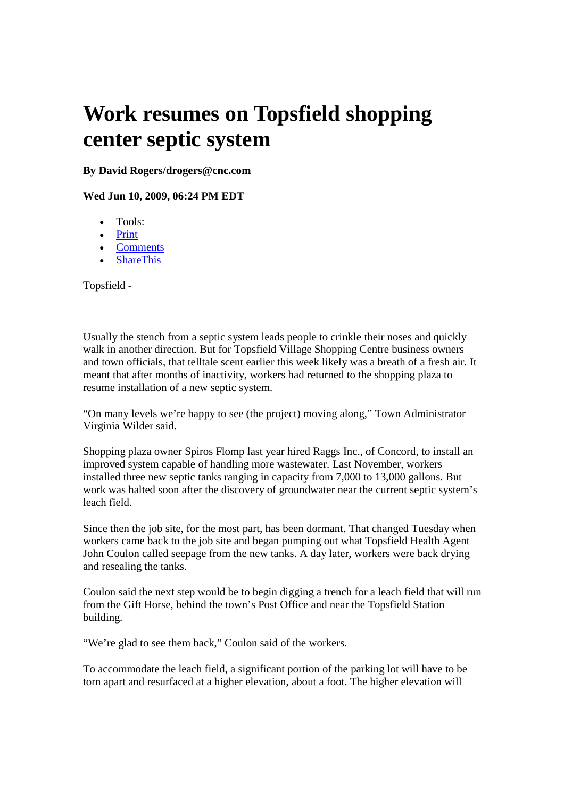## **Work resumes on Topsfield shopping center septic system**

**By David Rogers/drogers@cnc.com**

**Wed Jun 10, 2009, 06:24 PM EDT**

- Tools:
- Print
- Comments
- ShareThis

Topsfield -

Usually the stench from a septic system leads people to crinkle their noses and quickly walk in another direction. But for Topsfield Village Shopping Centre business owners and town officials, that telltale scent earlier this week likely was a breath of a fresh air. It meant that after months of inactivity, workers had returned to the shopping plaza to resume installation of a new septic system.

"On many levels we're happy to see (the project) moving along," Town Administrator Virginia Wilder said.

Shopping plaza owner Spiros Flomp last year hired Raggs Inc., of Concord, to install an improved system capable of handling more wastewater. Last November, workers installed three new septic tanks ranging in capacity from 7,000 to 13,000 gallons. But work was halted soon after the discovery of groundwater near the current septic system's leach field.

Since then the job site, for the most part, has been dormant. That changed Tuesday when workers came back to the job site and began pumping out what Topsfield Health Agent John Coulon called seepage from the new tanks. A day later, workers were back drying and resealing the tanks.

Coulon said the next step would be to begin digging a trench for a leach field that will run from the Gift Horse, behind the town's Post Office and near the Topsfield Station building.

"We're glad to see them back," Coulon said of the workers.

To accommodate the leach field, a significant portion of the parking lot will have to be torn apart and resurfaced at a higher elevation, about a foot. The higher elevation will